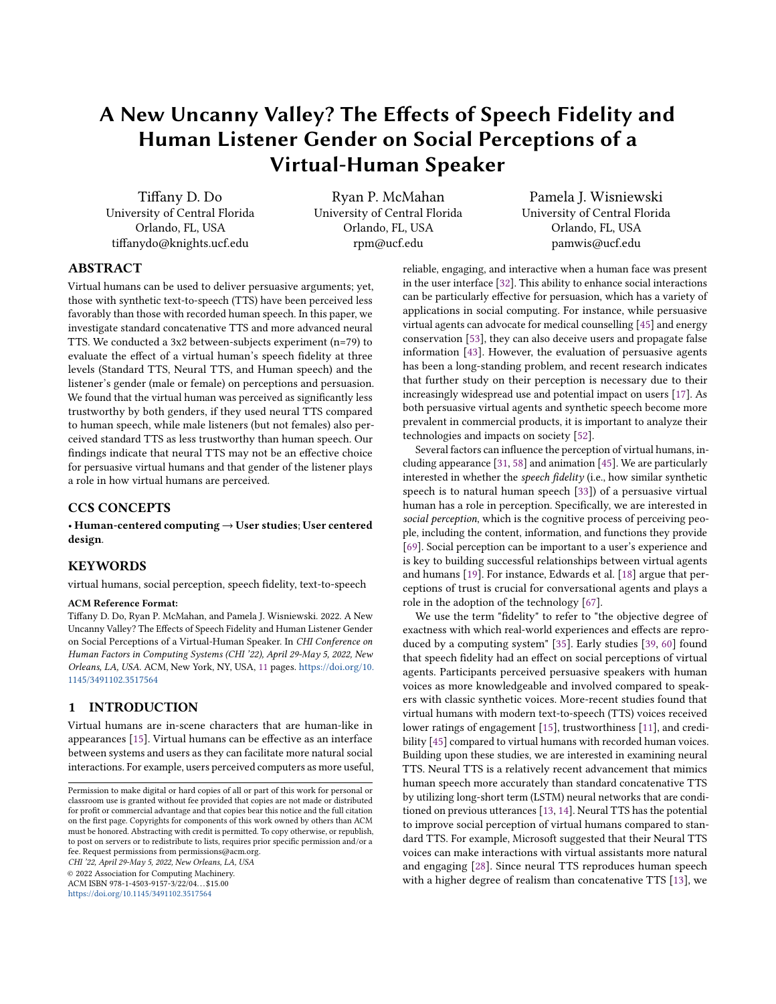# A New Uncanny Valley? The Efects of Speech Fidelity and Human Listener Gender on Social Perceptions of a Virtual-Human Speaker

Tiffany D. Do Ryan P. McMahan Pamela J. Wisniewski<br>University of Central Florida University of Central Florida Diniversity of Central Florida University of Central Florida Orlando, FL, USA Orlando, FL, USA Orlando, FL, USA tifanydo@knights.ucf.edu rpm@ucf.edu pamwis@ucf.edu

## ABSTRACT

Virtual humans can be used to deliver persuasive arguments; yet, those with synthetic text-to-speech (TTS) have been perceived less favorably than those with recorded human speech. In this paper, we investigate standard concatenative TTS and more advanced neural TTS. We conducted a 3x2 between-subjects experiment (n=79) to evaluate the efect of a virtual human's speech fdelity at three levels (Standard TTS, Neural TTS, and Human speech) and the listener's gender (male or female) on perceptions and persuasion. We found that the virtual human was perceived as signifcantly less trustworthy by both genders, if they used neural TTS compared to human speech, while male listeners (but not females) also perceived standard TTS as less trustworthy than human speech. Our fndings indicate that neural TTS may not be an efective choice for persuasive virtual humans and that gender of the listener plays a role in how virtual humans are perceived.

## CCS CONCEPTS

• Human-centered computing → User studies; User centered design.

## **KEYWORDS**

virtual humans, social perception, speech fdelity, text-to-speech

## ACM Reference Format:

Tifany D. Do, Ryan P. McMahan, and Pamela J. Wisniewski. 2022. A New Uncanny Valley? The Efects of Speech Fidelity and Human Listener Gender on Social Perceptions of a Virtual-Human Speaker. In CHI Conference on Human Factors in Computing Systems (CHI '22), April 29-May 5, 2022, New Orleans, LA, USA. ACM, New York, NY, USA, [11](#page-10-0) pages. [https://doi.org/10.](https://doi.org/10.1145/3491102.3517564) [1145/3491102.3517564](https://doi.org/10.1145/3491102.3517564)

## 1 INTRODUCTION

Virtual humans are in-scene characters that are human-like in appearances [\[15\]](#page-8-0). Virtual humans can be efective as an interface between systems and users as they can facilitate more natural social interactions. For example, users perceived computers as more useful,

<https://doi.org/10.1145/3491102.3517564>

reliable, engaging, and interactive when a human face was present in the user interface [\[32\]](#page-8-1). This ability to enhance social interactions can be particularly efective for persuasion, which has a variety of applications in social computing. For instance, while persuasive virtual agents can advocate for medical counselling [\[45\]](#page-8-2) and energy conservation [\[53\]](#page-9-0), they can also deceive users and propagate false information [\[43\]](#page-8-3). However, the evaluation of persuasive agents has been a long-standing problem, and recent research indicates that further study on their perception is necessary due to their increasingly widespread use and potential impact on users [\[17\]](#page-8-4). As both persuasive virtual agents and synthetic speech become more prevalent in commercial products, it is important to analyze their technologies and impacts on society [\[52\]](#page-9-1).

Several factors can infuence the perception of virtual humans, including appearance [\[31,](#page-8-5) [58\]](#page-9-2) and animation [\[45\]](#page-8-2). We are particularly interested in whether the speech fdelity (i.e., how similar synthetic speech is to natural human speech [\[33\]](#page-8-6)) of a persuasive virtual human has a role in perception. Specifcally, we are interested in social perception, which is the cognitive process of perceiving people, including the content, information, and functions they provide [\[69\]](#page-9-3). Social perception can be important to a user's experience and is key to building successful relationships between virtual agents and humans [\[19\]](#page-8-7). For instance, Edwards et al. [\[18\]](#page-8-8) argue that perceptions of trust is crucial for conversational agents and plays a role in the adoption of the technology [\[67\]](#page-9-4).

We use the term "fdelity" to refer to "the objective degree of exactness with which real-world experiences and efects are reproduced by a computing system" [\[35\]](#page-8-9). Early studies [\[39,](#page-8-10) [60\]](#page-9-5) found that speech fdelity had an efect on social perceptions of virtual agents. Participants perceived persuasive speakers with human voices as more knowledgeable and involved compared to speakers with classic synthetic voices. More-recent studies found that virtual humans with modern text-to-speech (TTS) voices received lower ratings of engagement [\[15\]](#page-8-0), trustworthiness [\[11\]](#page-8-11), and credibility [\[45\]](#page-8-2) compared to virtual humans with recorded human voices. Building upon these studies, we are interested in examining neural TTS. Neural TTS is a relatively recent advancement that mimics human speech more accurately than standard concatenative TTS by utilizing long-short term (LSTM) neural networks that are conditioned on previous utterances [\[13,](#page-8-12) [14\]](#page-8-13). Neural TTS has the potential to improve social perception of virtual humans compared to standard TTS. For example, Microsoft suggested that their Neural TTS voices can make interactions with virtual assistants more natural CHI '22, April 29-May 5, 2022, New Orleans, LA, USA and engaging [\[28\]](#page-8-14). Since neural TTS reproduces human speech  $\degree$  2022 Association for Computing Machinery.<br>
ACM ISBN 978-1-4503-9157-3/22/04...\$15.00 with a higher degree with a higher degree of realism than concatenative TTS [\[13\]](#page-8-12), we

Permission to make digital or hard copies of all or part of this work for personal or classroom use is granted without fee provided that copies are not made or distributed for proft or commercial advantage and that copies bear this notice and the full citation on the frst page. Copyrights for components of this work owned by others than ACM must be honored. Abstracting with credit is permitted. To copy otherwise, or republish, to post on servers or to redistribute to lists, requires prior specifc permission and/or a fee. Request permissions from [permissions@acm.org](mailto:permissions@acm.org).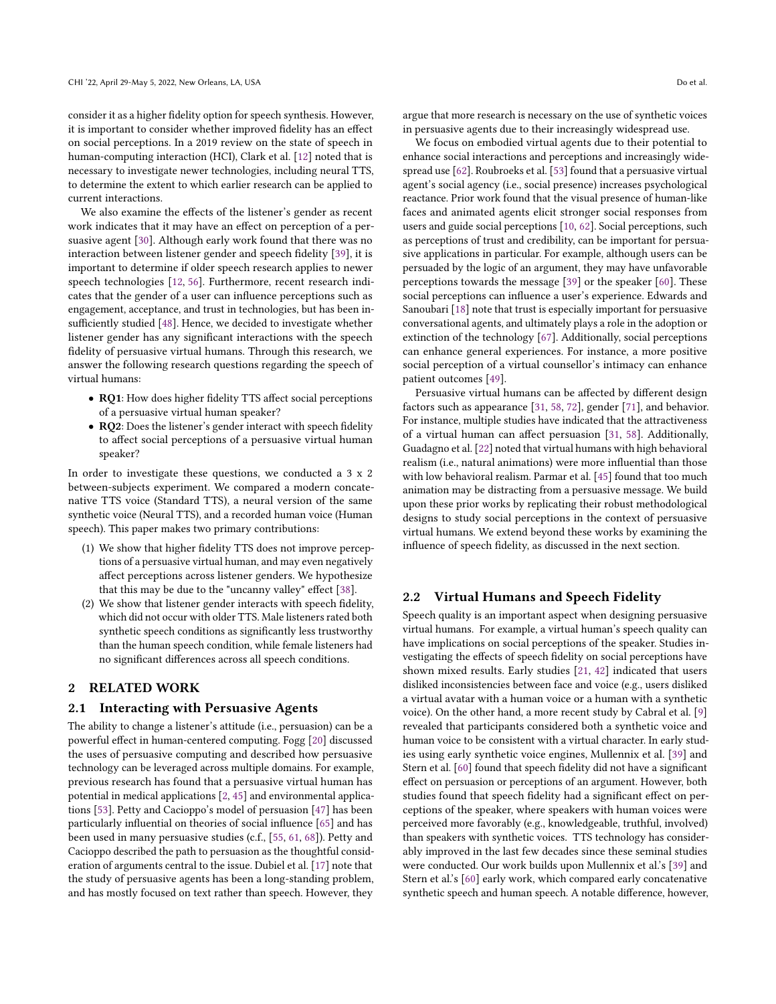consider it as a higher fdelity option for speech synthesis. However, it is important to consider whether improved fdelity has an efect on social perceptions. In a 2019 review on the state of speech in human-computing interaction (HCI), Clark et al. [\[12\]](#page-8-15) noted that is necessary to investigate newer technologies, including neural TTS, to determine the extent to which earlier research can be applied to current interactions.

We also examine the efects of the listener's gender as recent work indicates that it may have an effect on perception of a persuasive agent [\[30\]](#page-8-16). Although early work found that there was no interaction between listener gender and speech fdelity [\[39\]](#page-8-10), it is important to determine if older speech research applies to newer speech technologies [\[12,](#page-8-15) [56\]](#page-9-6). Furthermore, recent research indicates that the gender of a user can infuence perceptions such as engagement, acceptance, and trust in technologies, but has been in-sufficiently studied [\[48\]](#page-9-7). Hence, we decided to investigate whether listener gender has any signifcant interactions with the speech fdelity of persuasive virtual humans. Through this research, we answer the following research questions regarding the speech of virtual humans:

- RQ1: How does higher fdelity TTS afect social perceptions of a persuasive virtual human speaker?
- RQ2: Does the listener's gender interact with speech fdelity to afect social perceptions of a persuasive virtual human speaker?

In order to investigate these questions, we conducted a 3 x 2 between-subjects experiment. We compared a modern concatenative TTS voice (Standard TTS), a neural version of the same synthetic voice (Neural TTS), and a recorded human voice (Human speech). This paper makes two primary contributions:

- (1) We show that higher fdelity TTS does not improve perceptions of a persuasive virtual human, and may even negatively afect perceptions across listener genders. We hypothesize that this may be due to the "uncanny valley" effect [\[38\]](#page-8-17).
- (2) We show that listener gender interacts with speech fdelity, which did not occur with older TTS. Male listeners rated both synthetic speech conditions as signifcantly less trustworthy than the human speech condition, while female listeners had no signifcant diferences across all speech conditions.

## 2 RELATED WORK

## 2.1 Interacting with Persuasive Agents

The ability to change a listener's attitude (i.e., persuasion) can be a powerful efect in human-centered computing. Fogg [\[20\]](#page-8-18) discussed the uses of persuasive computing and described how persuasive technology can be leveraged across multiple domains. For example, previous research has found that a persuasive virtual human has potential in medical applications [\[2,](#page-7-0) [45\]](#page-8-2) and environmental applications [\[53\]](#page-9-0). Petty and Cacioppo's model of persuasion [\[47\]](#page-9-8) has been particularly infuential on theories of social infuence [\[65\]](#page-9-9) and has been used in many persuasive studies (c.f., [\[55,](#page-9-10) [61,](#page-9-11) [68\]](#page-9-12)). Petty and Cacioppo described the path to persuasion as the thoughtful consideration of arguments central to the issue. Dubiel et al. [\[17\]](#page-8-4) note that the study of persuasive agents has been a long-standing problem, and has mostly focused on text rather than speech. However, they

argue that more research is necessary on the use of synthetic voices in persuasive agents due to their increasingly widespread use.

We focus on embodied virtual agents due to their potential to enhance social interactions and perceptions and increasingly widespread use [\[62\]](#page-9-13). Roubroeks et al. [\[53\]](#page-9-0) found that a persuasive virtual agent's social agency (i.e., social presence) increases psychological reactance. Prior work found that the visual presence of human-like faces and animated agents elicit stronger social responses from users and guide social perceptions [\[10,](#page-8-19) [62\]](#page-9-13). Social perceptions, such as perceptions of trust and credibility, can be important for persuasive applications in particular. For example, although users can be persuaded by the logic of an argument, they may have unfavorable perceptions towards the message [\[39\]](#page-8-10) or the speaker [\[60\]](#page-9-5). These social perceptions can infuence a user's experience. Edwards and Sanoubari [\[18\]](#page-8-8) note that trust is especially important for persuasive conversational agents, and ultimately plays a role in the adoption or extinction of the technology [\[67\]](#page-9-4). Additionally, social perceptions can enhance general experiences. For instance, a more positive social perception of a virtual counsellor's intimacy can enhance patient outcomes [\[49\]](#page-9-14).

Persuasive virtual humans can be afected by diferent design factors such as appearance [\[31,](#page-8-5) [58,](#page-9-2) [72\]](#page-9-15), gender [\[71\]](#page-9-16), and behavior. For instance, multiple studies have indicated that the attractiveness of a virtual human can afect persuasion [\[31,](#page-8-5) [58\]](#page-9-2). Additionally, Guadagno et al. [\[22\]](#page-8-20) noted that virtual humans with high behavioral realism (i.e., natural animations) were more infuential than those with low behavioral realism. Parmar et al. [\[45\]](#page-8-2) found that too much animation may be distracting from a persuasive message. We build upon these prior works by replicating their robust methodological designs to study social perceptions in the context of persuasive virtual humans. We extend beyond these works by examining the infuence of speech fdelity, as discussed in the next section.

## 2.2 Virtual Humans and Speech Fidelity

Speech quality is an important aspect when designing persuasive virtual humans. For example, a virtual human's speech quality can have implications on social perceptions of the speaker. Studies investigating the efects of speech fdelity on social perceptions have shown mixed results. Early studies [\[21,](#page-8-21) [42\]](#page-8-22) indicated that users disliked inconsistencies between face and voice (e.g., users disliked a virtual avatar with a human voice or a human with a synthetic voice). On the other hand, a more recent study by Cabral et al. [\[9\]](#page-8-23) revealed that participants considered both a synthetic voice and human voice to be consistent with a virtual character. In early studies using early synthetic voice engines, Mullennix et al. [\[39\]](#page-8-10) and Stern et al. [\[60\]](#page-9-5) found that speech fdelity did not have a signifcant efect on persuasion or perceptions of an argument. However, both studies found that speech fidelity had a significant effect on perceptions of the speaker, where speakers with human voices were perceived more favorably (e.g., knowledgeable, truthful, involved) than speakers with synthetic voices. TTS technology has considerably improved in the last few decades since these seminal studies were conducted. Our work builds upon Mullennix et al.'s [\[39\]](#page-8-10) and Stern et al.'s [\[60\]](#page-9-5) early work, which compared early concatenative synthetic speech and human speech. A notable diference, however,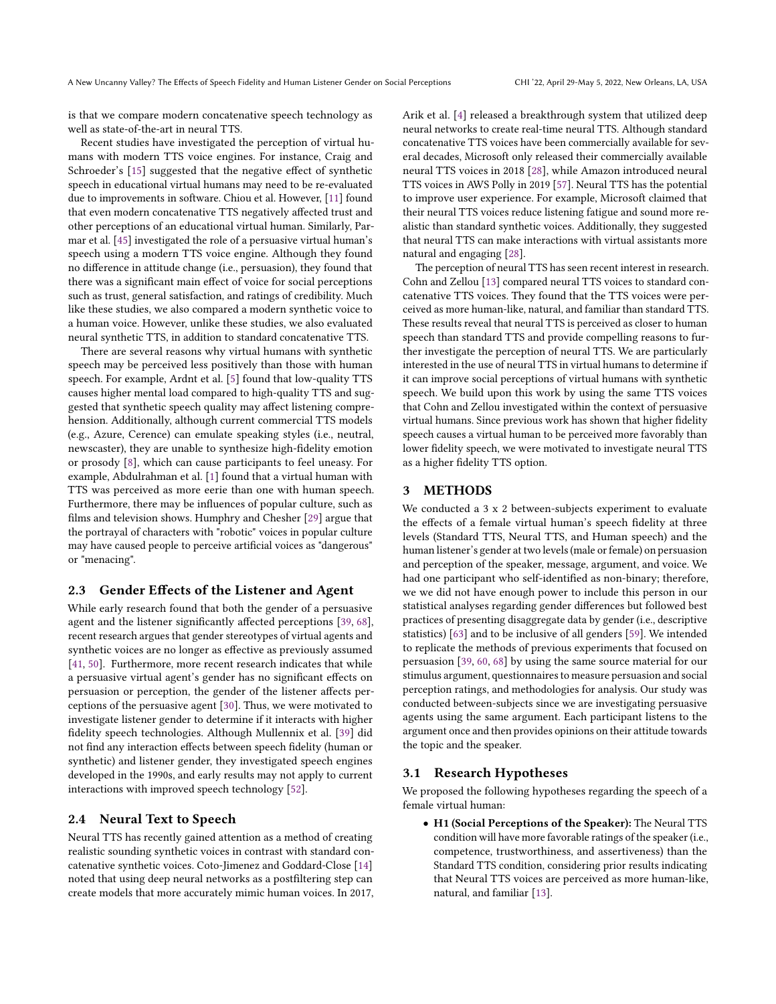is that we compare modern concatenative speech technology as well as state-of-the-art in neural TTS.

Recent studies have investigated the perception of virtual humans with modern TTS voice engines. For instance, Craig and Schroeder's [\[15\]](#page-8-0) suggested that the negative effect of synthetic speech in educational virtual humans may need to be re-evaluated due to improvements in software. Chiou et al. However, [\[11\]](#page-8-11) found that even modern concatenative TTS negatively afected trust and other perceptions of an educational virtual human. Similarly, Parmar et al. [\[45\]](#page-8-2) investigated the role of a persuasive virtual human's speech using a modern TTS voice engine. Although they found no diference in attitude change (i.e., persuasion), they found that there was a signifcant main efect of voice for social perceptions such as trust, general satisfaction, and ratings of credibility. Much like these studies, we also compared a modern synthetic voice to a human voice. However, unlike these studies, we also evaluated neural synthetic TTS, in addition to standard concatenative TTS.

There are several reasons why virtual humans with synthetic speech may be perceived less positively than those with human speech. For example, Ardnt et al. [\[5\]](#page-8-24) found that low-quality TTS causes higher mental load compared to high-quality TTS and suggested that synthetic speech quality may afect listening comprehension. Additionally, although current commercial TTS models (e.g., Azure, Cerence) can emulate speaking styles (i.e., neutral, newscaster), they are unable to synthesize high-fdelity emotion or prosody [\[8\]](#page-8-25), which can cause participants to feel uneasy. For example, Abdulrahman et al. [\[1\]](#page-7-1) found that a virtual human with TTS was perceived as more eerie than one with human speech. Furthermore, there may be infuences of popular culture, such as flms and television shows. Humphry and Chesher [\[29\]](#page-8-26) argue that the portrayal of characters with "robotic" voices in popular culture may have caused people to perceive artifcial voices as "dangerous" or "menacing".

## 2.3 Gender Efects of the Listener and Agent

While early research found that both the gender of a persuasive agent and the listener signifcantly afected perceptions [\[39,](#page-8-10) [68\]](#page-9-12), recent research argues that gender stereotypes of virtual agents and synthetic voices are no longer as efective as previously assumed [\[41,](#page-8-27) [50\]](#page-9-17). Furthermore, more recent research indicates that while a persuasive virtual agent's gender has no signifcant efects on persuasion or perception, the gender of the listener afects perceptions of the persuasive agent [\[30\]](#page-8-16). Thus, we were motivated to investigate listener gender to determine if it interacts with higher fdelity speech technologies. Although Mullennix et al. [\[39\]](#page-8-10) did not fnd any interaction efects between speech fdelity (human or synthetic) and listener gender, they investigated speech engines developed in the 1990s, and early results may not apply to current interactions with improved speech technology [\[52\]](#page-9-1).

## 2.4 Neural Text to Speech

Neural TTS has recently gained attention as a method of creating realistic sounding synthetic voices in contrast with standard concatenative synthetic voices. Coto-Jimenez and Goddard-Close [\[14\]](#page-8-13) noted that using deep neural networks as a postfltering step can create models that more accurately mimic human voices. In 2017, Arik et al. [\[4\]](#page-8-28) released a breakthrough system that utilized deep neural networks to create real-time neural TTS. Although standard concatenative TTS voices have been commercially available for several decades, Microsoft only released their commercially available neural TTS voices in 2018 [\[28\]](#page-8-14), while Amazon introduced neural TTS voices in AWS Polly in 2019 [\[57\]](#page-9-18). Neural TTS has the potential to improve user experience. For example, Microsoft claimed that their neural TTS voices reduce listening fatigue and sound more realistic than standard synthetic voices. Additionally, they suggested that neural TTS can make interactions with virtual assistants more natural and engaging [\[28\]](#page-8-14).

The perception of neural TTS has seen recent interest in research. Cohn and Zellou [\[13\]](#page-8-12) compared neural TTS voices to standard concatenative TTS voices. They found that the TTS voices were perceived as more human-like, natural, and familiar than standard TTS. These results reveal that neural TTS is perceived as closer to human speech than standard TTS and provide compelling reasons to further investigate the perception of neural TTS. We are particularly interested in the use of neural TTS in virtual humans to determine if it can improve social perceptions of virtual humans with synthetic speech. We build upon this work by using the same TTS voices that Cohn and Zellou investigated within the context of persuasive virtual humans. Since previous work has shown that higher fdelity speech causes a virtual human to be perceived more favorably than lower fdelity speech, we were motivated to investigate neural TTS as a higher fdelity TTS option.

## 3 METHODS

We conducted a 3 x 2 between-subjects experiment to evaluate the efects of a female virtual human's speech fdelity at three levels (Standard TTS, Neural TTS, and Human speech) and the human listener's gender at two levels (male or female) on persuasion and perception of the speaker, message, argument, and voice. We had one participant who self-identifed as non-binary; therefore, we we did not have enough power to include this person in our statistical analyses regarding gender diferences but followed best practices of presenting disaggregate data by gender (i.e., descriptive statistics) [\[63\]](#page-9-19) and to be inclusive of all genders [\[59\]](#page-9-20). We intended to replicate the methods of previous experiments that focused on persuasion [\[39,](#page-8-10) [60,](#page-9-5) [68\]](#page-9-12) by using the same source material for our stimulus argument, questionnaires to measure persuasion and social perception ratings, and methodologies for analysis. Our study was conducted between-subjects since we are investigating persuasive agents using the same argument. Each participant listens to the argument once and then provides opinions on their attitude towards the topic and the speaker.

## 3.1 Research Hypotheses

We proposed the following hypotheses regarding the speech of a female virtual human:

• H1 (Social Perceptions of the Speaker): The Neural TTS condition will have more favorable ratings of the speaker (i.e., competence, trustworthiness, and assertiveness) than the Standard TTS condition, considering prior results indicating that Neural TTS voices are perceived as more human-like, natural, and familiar [\[13\]](#page-8-12).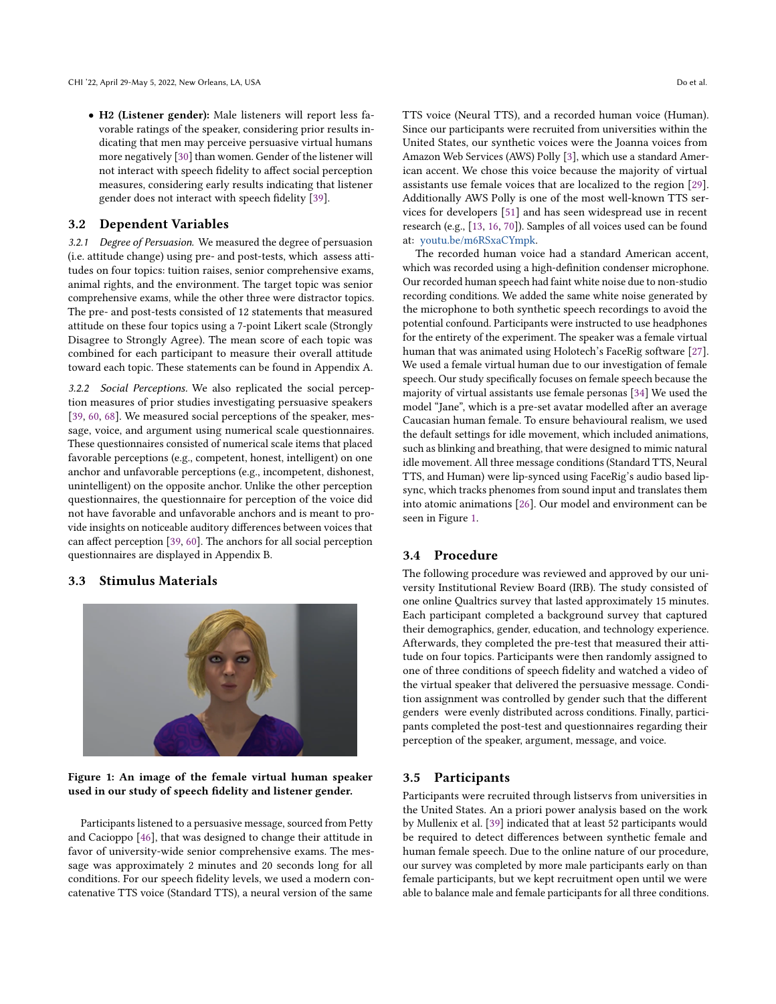• H2 (Listener gender): Male listeners will report less favorable ratings of the speaker, considering prior results indicating that men may perceive persuasive virtual humans more negatively [\[30\]](#page-8-16) than women. Gender of the listener will not interact with speech fdelity to afect social perception measures, considering early results indicating that listener gender does not interact with speech fdelity [\[39\]](#page-8-10).

## 3.2 Dependent Variables

3.2.1 Degree of Persuasion. We measured the degree of persuasion (i.e. attitude change) using pre- and post-tests, which assess attitudes on four topics: tuition raises, senior comprehensive exams, animal rights, and the environment. The target topic was senior comprehensive exams, while the other three were distractor topics. The pre- and post-tests consisted of 12 statements that measured attitude on these four topics using a 7-point Likert scale (Strongly Disagree to Strongly Agree). The mean score of each topic was combined for each participant to measure their overall attitude toward each topic. These statements can be found in Appendix A.

3.2.2 Social Perceptions. We also replicated the social perception measures of prior studies investigating persuasive speakers [\[39,](#page-8-10) [60,](#page-9-5) [68\]](#page-9-12). We measured social perceptions of the speaker, message, voice, and argument using numerical scale questionnaires. These questionnaires consisted of numerical scale items that placed favorable perceptions (e.g., competent, honest, intelligent) on one anchor and unfavorable perceptions (e.g., incompetent, dishonest, unintelligent) on the opposite anchor. Unlike the other perception questionnaires, the questionnaire for perception of the voice did not have favorable and unfavorable anchors and is meant to provide insights on noticeable auditory diferences between voices that can afect perception [\[39,](#page-8-10) [60\]](#page-9-5). The anchors for all social perception questionnaires are displayed in Appendix B.

## 3.3 Stimulus Materials

<span id="page-3-0"></span>

## Figure 1: An image of the female virtual human speaker used in our study of speech fdelity and listener gender.

Participants listened to a persuasive message, sourced from Petty and Cacioppo [\[46\]](#page-9-21), that was designed to change their attitude in favor of university-wide senior comprehensive exams. The message was approximately 2 minutes and 20 seconds long for all conditions. For our speech fdelity levels, we used a modern concatenative TTS voice (Standard TTS), a neural version of the same

TTS voice (Neural TTS), and a recorded human voice (Human). Since our participants were recruited from universities within the United States, our synthetic voices were the Joanna voices from Amazon Web Services (AWS) Polly [\[3\]](#page-7-2), which use a standard American accent. We chose this voice because the majority of virtual assistants use female voices that are localized to the region [\[29\]](#page-8-26). Additionally AWS Polly is one of the most well-known TTS services for developers [\[51\]](#page-9-22) and has seen widespread use in recent research (e.g., [\[13,](#page-8-12) [16,](#page-8-29) [70\]](#page-9-23)). Samples of all voices used can be found at: [youtu.be/m6RSxaCYmpk.](http://youtu.be/m6RSxaCYmpk)

The recorded human voice had a standard American accent, which was recorded using a high-defnition condenser microphone. Our recorded human speech had faint white noise due to non-studio recording conditions. We added the same white noise generated by the microphone to both synthetic speech recordings to avoid the potential confound. Participants were instructed to use headphones for the entirety of the experiment. The speaker was a female virtual human that was animated using Holotech's FaceRig software [\[27\]](#page-8-30). We used a female virtual human due to our investigation of female speech. Our study specifcally focuses on female speech because the majority of virtual assistants use female personas [\[34\]](#page-8-31) We used the model "Jane", which is a pre-set avatar modelled after an average Caucasian human female. To ensure behavioural realism, we used the default settings for idle movement, which included animations, such as blinking and breathing, that were designed to mimic natural idle movement. All three message conditions (Standard TTS, Neural TTS, and Human) were lip-synced using FaceRig's audio based lipsync, which tracks phenomes from sound input and translates them into atomic animations [\[26\]](#page-8-32). Our model and environment can be seen in Figure [1.](#page-3-0)

## 3.4 Procedure

The following procedure was reviewed and approved by our university Institutional Review Board (IRB). The study consisted of one online Qualtrics survey that lasted approximately 15 minutes. Each participant completed a background survey that captured their demographics, gender, education, and technology experience. Afterwards, they completed the pre-test that measured their attitude on four topics. Participants were then randomly assigned to one of three conditions of speech fdelity and watched a video of the virtual speaker that delivered the persuasive message. Condition assignment was controlled by gender such that the diferent genders were evenly distributed across conditions. Finally, participants completed the post-test and questionnaires regarding their perception of the speaker, argument, message, and voice.

#### 3.5 Participants

Participants were recruited through listservs from universities in the United States. An a priori power analysis based on the work by Mullenix et al. [\[39\]](#page-8-10) indicated that at least 52 participants would be required to detect diferences between synthetic female and human female speech. Due to the online nature of our procedure, our survey was completed by more male participants early on than female participants, but we kept recruitment open until we were able to balance male and female participants for all three conditions.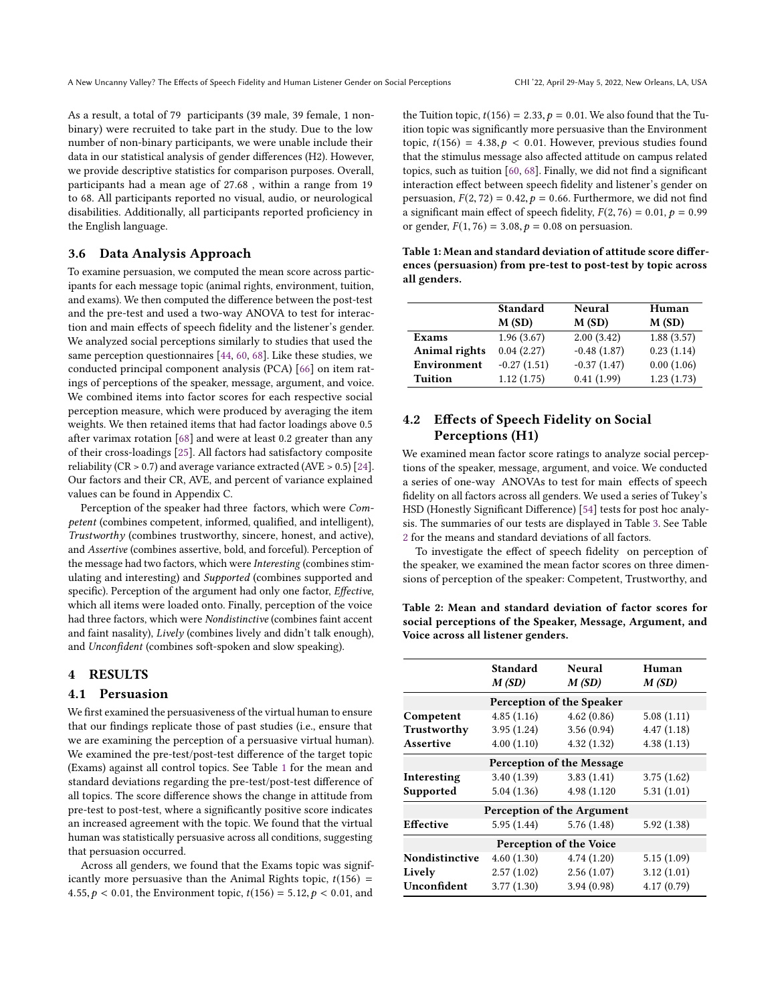As a result, a total of 79 participants (39 male, 39 female, 1 nonbinary) were recruited to take part in the study. Due to the low number of non-binary participants, we were unable include their data in our statistical analysis of gender diferences (H2). However, we provide descriptive statistics for comparison purposes. Overall, participants had a mean age of 27.68 , within a range from 19 to 68. All participants reported no visual, audio, or neurological disabilities. Additionally, all participants reported profciency in the English language.

## 3.6 Data Analysis Approach

To examine persuasion, we computed the mean score across participants for each message topic (animal rights, environment, tuition, and exams). We then computed the diference between the post-test and the pre-test and used a two-way ANOVA to test for interaction and main efects of speech fdelity and the listener's gender. We analyzed social perceptions similarly to studies that used the same perception questionnaires [\[44,](#page-8-33) [60,](#page-9-5) [68\]](#page-9-12). Like these studies, we conducted principal component analysis (PCA) [\[66\]](#page-9-24) on item ratings of perceptions of the speaker, message, argument, and voice. We combined items into factor scores for each respective social perception measure, which were produced by averaging the item weights. We then retained items that had factor loadings above 0.5 after varimax rotation [\[68\]](#page-9-12) and were at least 0.2 greater than any of their cross-loadings [\[25\]](#page-8-34). All factors had satisfactory composite reliability (CR  $> 0.7$ ) and average variance extracted (AVE  $> 0.5$ ) [\[24\]](#page-8-35). Our factors and their CR, AVE, and percent of variance explained values can be found in Appendix C.

Perception of the speaker had three factors, which were Competent (combines competent, informed, qualifed, and intelligent), Trustworthy (combines trustworthy, sincere, honest, and active), and Assertive (combines assertive, bold, and forceful). Perception of the message had two factors, which were Interesting (combines stimulating and interesting) and Supported (combines supported and specific). Perception of the argument had only one factor, Effective, which all items were loaded onto. Finally, perception of the voice had three factors, which were Nondistinctive (combines faint accent and faint nasality), Lively (combines lively and didn't talk enough), and Unconfdent (combines soft-spoken and slow speaking).

## 4 RESULTS

## 4.1 Persuasion

We frst examined the persuasiveness of the virtual human to ensure that our fndings replicate those of past studies (i.e., ensure that we are examining the perception of a persuasive virtual human). We examined the pre-test/post-test diference of the target topic (Exams) against all control topics. See Table [1](#page-4-0) for the mean and standard deviations regarding the pre-test/post-test diference of all topics. The score diference shows the change in attitude from pre-test to post-test, where a signifcantly positive score indicates an increased agreement with the topic. We found that the virtual human was statistically persuasive across all conditions, suggesting that persuasion occurred.

Across all genders, we found that the Exams topic was significantly more persuasive than the Animal Rights topic,  $t(156)$  = 4.55,  $p < 0.01$ , the Environment topic,  $t(156) = 5.12$ ,  $p < 0.01$ , and

the Tuition topic,  $t(156) = 2.33$ ,  $p = 0.01$ . We also found that the Tuition topic was signifcantly more persuasive than the Environment topic,  $t(156) = 4.38, p < 0.01$ . However, previous studies found that the stimulus message also afected attitude on campus related topics, such as tuition [\[60,](#page-9-5) [68\]](#page-9-12). Finally, we did not fnd a signifcant interaction effect between speech fidelity and listener's gender on persuasion,  $F(2, 72) = 0.42$ ,  $p = 0.66$ . Furthermore, we did not find a significant main effect of speech fidelity,  $F(2, 76) = 0.01$ ,  $p = 0.99$ or gender,  $F(1, 76) = 3.08$ ,  $p = 0.08$  on persuasion.

<span id="page-4-0"></span>Table 1: Mean and standard deviation of attitude score diferences (persuasion) from pre-test to post-test by topic across all genders.

|                      | <b>Standard</b> | Neural        | Human      |  |
|----------------------|-----------------|---------------|------------|--|
|                      | M(SD)           | M(SD)         | M(SD)      |  |
| <b>Exams</b>         | 1.96(3.67)      | 2.00(3.42)    | 1.88(3.57) |  |
| <b>Animal rights</b> | 0.04(2.27)      | $-0.48(1.87)$ | 0.23(1.14) |  |
| Environment          | $-0.27(1.51)$   | $-0.37(1.47)$ | 0.00(1.06) |  |
| <b>Tuition</b>       | 1.12(1.75)      | 0.41(1.99)    | 1.23(1.73) |  |

## 4.2 Efects of Speech Fidelity on Social Perceptions (H1)

We examined mean factor score ratings to analyze social perceptions of the speaker, message, argument, and voice. We conducted a series of one-way ANOVAs to test for main efects of speech fdelity on all factors across all genders. We used a series of Tukey's HSD (Honestly Signifcant Diference) [\[54\]](#page-9-25) tests for post hoc analysis. The summaries of our tests are displayed in Table [3.](#page-5-0) See Table [2](#page-4-1) for the means and standard deviations of all factors.

To investigate the effect of speech fidelity on perception of the speaker, we examined the mean factor scores on three dimensions of perception of the speaker: Competent, Trustworthy, and

<span id="page-4-1"></span>Table 2: Mean and standard deviation of factor scores for social perceptions of the Speaker, Message, Argument, and Voice across all listener genders.

|                           | Standard<br>M(SD) | Neural<br>M(SD)            | Human<br>M(SD) |  |  |  |  |  |
|---------------------------|-------------------|----------------------------|----------------|--|--|--|--|--|
| Perception of the Speaker |                   |                            |                |  |  |  |  |  |
| Competent                 | 4.85(1.16)        | 4.62(0.86)                 | 5.08(1.11)     |  |  |  |  |  |
| Trustworthy               | 3.95(1.24)        | 3.56(0.94)                 | 4.47(1.18)     |  |  |  |  |  |
| Assertive                 | 4.00(1.10)        | 4.32(1.32)                 | 4.38(1.13)     |  |  |  |  |  |
| Perception of the Message |                   |                            |                |  |  |  |  |  |
| Interesting               | 3.40(1.39)        | 3.83(1.41)                 | 3.75(1.62)     |  |  |  |  |  |
| Supported                 | 5.04(1.36)        | 4.98 (1.120)               | 5.31(1.01)     |  |  |  |  |  |
|                           |                   | Perception of the Argument |                |  |  |  |  |  |
| Effective                 | 5.95 (1.44)       | 5.76(1.48)                 | 5.92(1.38)     |  |  |  |  |  |
| Perception of the Voice   |                   |                            |                |  |  |  |  |  |
| Nondistinctive            | 4.60(1.30)        | 4.74(1.20)                 | 5.15(1.09)     |  |  |  |  |  |
| Lively                    | 2.57(1.02)        | 2.56(1.07)                 | 3.12(1.01)     |  |  |  |  |  |
| Unconfident               | 3.77(1.30)        | 3.94(0.98)                 | 4.17(0.79)     |  |  |  |  |  |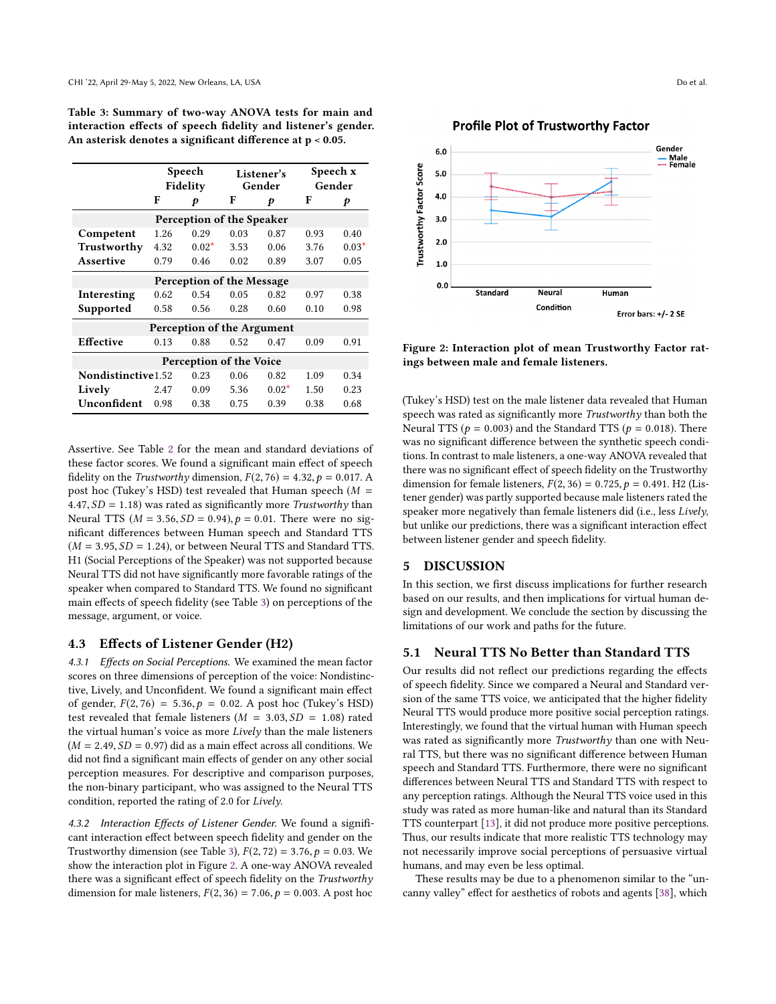<span id="page-5-0"></span>Table 3: Summary of two-way ANOVA tests for main and interaction efects of speech fdelity and listener's gender. An asterisk denotes a signifcant diference at p < 0.05.

|                            | Speech<br>Fidelity |                           | Listener's<br>Gender |         | Speech x<br>Gender |         |
|----------------------------|--------------------|---------------------------|----------------------|---------|--------------------|---------|
|                            | F                  | p                         | F                    | p       | F                  | p       |
|                            |                    | Perception of the Speaker |                      |         |                    |         |
| Competent                  | 1.26               | 0.29                      | 0.03                 | 0.87    | 0.93               | 0.40    |
| Trustworthy                | 4.32               | $0.02*$                   | 3.53                 | 0.06    | 3.76               | $0.03*$ |
| <b>Assertive</b>           | 0.79               | 0.46                      | 0.02                 | 0.89    | 3.07               | 0.05    |
| Perception of the Message  |                    |                           |                      |         |                    |         |
| Interesting                | 0.62               | 0.54                      | 0.05                 | 0.82    | 0.97               | 0.38    |
| Supported                  | 0.58               | 0.56                      | 0.28                 | 0.60    | 0.10               | 0.98    |
| Perception of the Argument |                    |                           |                      |         |                    |         |
| <b>Effective</b>           | 0.13               | 0.88                      | 0.52                 | 0.47    | 0.09               | 0.91    |
| Perception of the Voice    |                    |                           |                      |         |                    |         |
| Nondistinctive1.52         |                    | 0.23                      | 0.06                 | 0.82    | 1.09               | 0.34    |
| Lively                     | 2.47               | 0.09                      | 5.36                 | $0.02*$ | 1.50               | 0.23    |
| Unconfident                | 0.98               | 0.38                      | 0.75                 | 0.39    | 0.38               | 0.68    |

Assertive. See Table [2](#page-4-1) for the mean and standard deviations of these factor scores. We found a signifcant main efect of speech fidelity on the *Trustworthy* dimension,  $F(2, 76) = 4.32$ ,  $p = 0.017$ . A post hoc (Tukey's HSD) test revealed that Human speech ( $M =$  $4.47, SD = 1.18$ ) was rated as significantly more Trustworthy than Neural TTS ( $M = 3.56$ ,  $SD = 0.94$ ),  $p = 0.01$ . There were no signifcant diferences between Human speech and Standard TTS  $(M = 3.95, SD = 1.24)$ , or between Neural TTS and Standard TTS. H1 (Social Perceptions of the Speaker) was not supported because Neural TTS did not have signifcantly more favorable ratings of the speaker when compared to Standard TTS. We found no signifcant main efects of speech fdelity (see Table [3\)](#page-5-0) on perceptions of the message, argument, or voice.

## 4.3 Efects of Listener Gender (H2)

4.3.1 Effects on Social Perceptions. We examined the mean factor scores on three dimensions of perception of the voice: Nondistinctive, Lively, and Unconfdent. We found a signifcant main efect of gender,  $F(2, 76) = 5.36$ ,  $p = 0.02$ . A post hoc (Tukey's HSD) test revealed that female listeners ( $M = 3.03, SD = 1.08$ ) rated the virtual human's voice as more Lively than the male listeners  $(M = 2.49, SD = 0.97)$  did as a main effect across all conditions. We did not fnd a signifcant main efects of gender on any other social perception measures. For descriptive and comparison purposes, the non-binary participant, who was assigned to the Neural TTS condition, reported the rating of 2.0 for Lively.

4.3.2 Interaction Effects of Listener Gender. We found a significant interaction efect between speech fdelity and gender on the Trustworthy dimension (see Table [3\)](#page-5-0),  $F(2, 72) = 3.76$ ,  $p = 0.03$ . We show the interaction plot in Figure [2.](#page-5-1) A one-way ANOVA revealed there was a significant effect of speech fidelity on the Trustworthy dimension for male listeners,  $F(2, 36) = 7.06$ ,  $p = 0.003$ . A post hoc

## **Profile Plot of Trustworthy Factor**

<span id="page-5-1"></span>

Figure 2: Interaction plot of mean Trustworthy Factor ratings between male and female listeners.

(Tukey's HSD) test on the male listener data revealed that Human speech was rated as significantly more Trustworthy than both the Neural TTS ( $p = 0.003$ ) and the Standard TTS ( $p = 0.018$ ). There was no signifcant diference between the synthetic speech conditions. In contrast to male listeners, a one-way ANOVA revealed that there was no signifcant efect of speech fdelity on the Trustworthy dimension for female listeners,  $F(2, 36) = 0.725$ ,  $p = 0.491$ . H2 (Listener gender) was partly supported because male listeners rated the speaker more negatively than female listeners did (i.e., less Lively, but unlike our predictions, there was a signifcant interaction efect between listener gender and speech fdelity.

## 5 DISCUSSION

In this section, we frst discuss implications for further research based on our results, and then implications for virtual human design and development. We conclude the section by discussing the limitations of our work and paths for the future.

## 5.1 Neural TTS No Better than Standard TTS

Our results did not refect our predictions regarding the efects of speech fdelity. Since we compared a Neural and Standard version of the same TTS voice, we anticipated that the higher fdelity Neural TTS would produce more positive social perception ratings. Interestingly, we found that the virtual human with Human speech was rated as signifcantly more Trustworthy than one with Neural TTS, but there was no signifcant diference between Human speech and Standard TTS. Furthermore, there were no signifcant diferences between Neural TTS and Standard TTS with respect to any perception ratings. Although the Neural TTS voice used in this study was rated as more human-like and natural than its Standard TTS counterpart [\[13\]](#page-8-12), it did not produce more positive perceptions. Thus, our results indicate that more realistic TTS technology may not necessarily improve social perceptions of persuasive virtual humans, and may even be less optimal.

These results may be due to a phenomenon similar to the "uncanny valley" efect for aesthetics of robots and agents [\[38\]](#page-8-17), which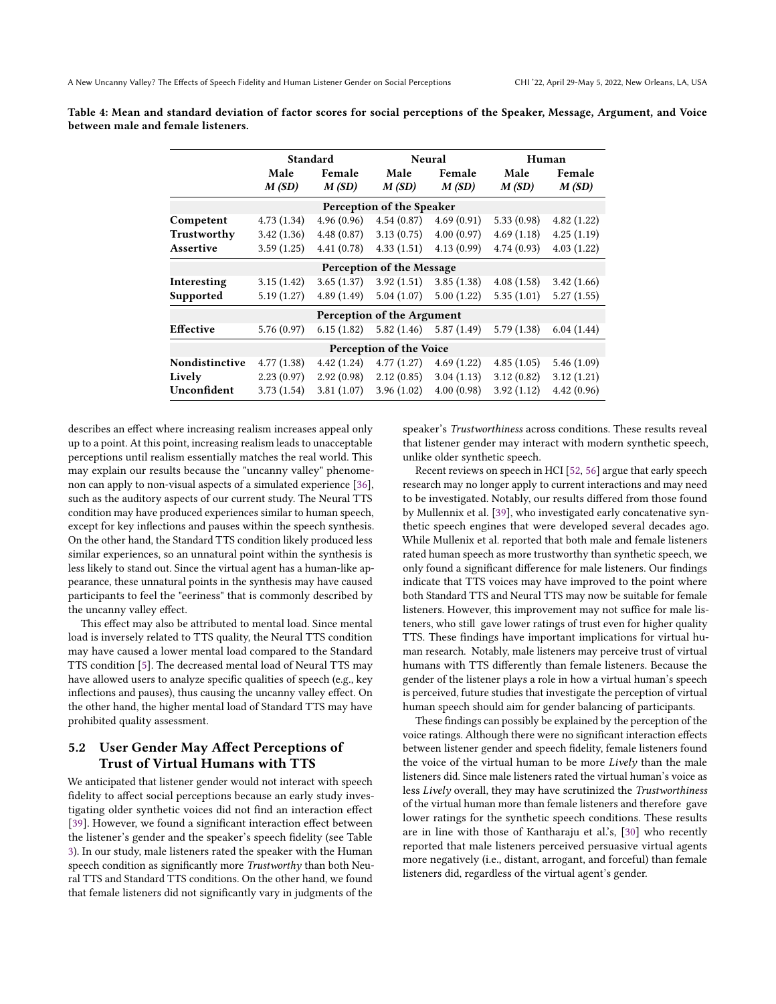|                         | Standard      |                 | Neural                            |                 | Human         |                 |
|-------------------------|---------------|-----------------|-----------------------------------|-----------------|---------------|-----------------|
|                         | Male<br>M(SD) | Female<br>M(SD) | Male<br>M(SD)                     | Female<br>M(SD) | Male<br>M(SD) | Female<br>M(SD) |
|                         |               |                 | Perception of the Speaker         |                 |               |                 |
| Competent               | 4.73(1.34)    | 4.96(0.96)      | 4.54(0.87)                        | 4.69(0.91)      | 5.33(0.98)    | 4.82(1.22)      |
| Trustworthy             | 3.42(1.36)    | 4.48(0.87)      | 3.13(0.75)                        | 4.00(0.97)      | 4.69(1.18)    | 4.25(1.19)      |
| Assertive               | 3.59(1.25)    | 4.41(0.78)      | 4.33(1.51)                        | 4.13(0.99)      | 4.74(0.93)    | 4.03(1.22)      |
|                         |               |                 | <b>Perception of the Message</b>  |                 |               |                 |
| Interesting             | 3.15(1.42)    | 3.65(1.37)      | 3.92(1.51)                        | 3.85(1.38)      | 4.08(1.58)    | 3.42(1.66)      |
| Supported               | 5.19(1.27)    | 4.89(1.49)      | 5.04(1.07)                        | 5.00(1.22)      | 5.35(1.01)    | 5.27(1.55)      |
|                         |               |                 | <b>Perception of the Argument</b> |                 |               |                 |
| <b>Effective</b>        | 5.76(0.97)    | 6.15(1.82)      | 5.82(1.46)                        | 5.87(1.49)      | 5.79(1.38)    | 6.04(1.44)      |
| Perception of the Voice |               |                 |                                   |                 |               |                 |
| Nondistinctive          | 4.77(1.38)    | 4.42(1.24)      | 4.77(1.27)                        | 4.69(1.22)      | 4.85(1.05)    | 5.46(1.09)      |
| Lively                  | 2.23(0.97)    | 2.92(0.98)      | 2.12(0.85)                        | 3.04(1.13)      | 3.12(0.82)    | 3.12(1.21)      |
| Unconfident             | 3.73(1.54)    | 3.81(1.07)      | 3.96(1.02)                        | 4.00(0.98)      | 3.92(1.12)    | 4.42(0.96)      |

Table 4: Mean and standard deviation of factor scores for social perceptions of the Speaker, Message, Argument, and Voice between male and female listeners.

describes an efect where increasing realism increases appeal only up to a point. At this point, increasing realism leads to unacceptable perceptions until realism essentially matches the real world. This may explain our results because the "uncanny valley" phenomenon can apply to non-visual aspects of a simulated experience [\[36\]](#page-8-36), such as the auditory aspects of our current study. The Neural TTS condition may have produced experiences similar to human speech, except for key infections and pauses within the speech synthesis. On the other hand, the Standard TTS condition likely produced less similar experiences, so an unnatural point within the synthesis is less likely to stand out. Since the virtual agent has a human-like appearance, these unnatural points in the synthesis may have caused participants to feel the "eeriness" that is commonly described by the uncanny valley efect.

This efect may also be attributed to mental load. Since mental load is inversely related to TTS quality, the Neural TTS condition may have caused a lower mental load compared to the Standard TTS condition [\[5\]](#page-8-24). The decreased mental load of Neural TTS may have allowed users to analyze specifc qualities of speech (e.g., key infections and pauses), thus causing the uncanny valley efect. On the other hand, the higher mental load of Standard TTS may have prohibited quality assessment.

## 5.2 User Gender May Afect Perceptions of Trust of Virtual Humans with TTS

We anticipated that listener gender would not interact with speech fidelity to affect social perceptions because an early study investigating older synthetic voices did not fnd an interaction efect [\[39\]](#page-8-10). However, we found a signifcant interaction efect between the listener's gender and the speaker's speech fdelity (see Table [3\)](#page-5-0). In our study, male listeners rated the speaker with the Human speech condition as signifcantly more Trustworthy than both Neural TTS and Standard TTS conditions. On the other hand, we found that female listeners did not signifcantly vary in judgments of the

speaker's Trustworthiness across conditions. These results reveal that listener gender may interact with modern synthetic speech, unlike older synthetic speech.

Recent reviews on speech in HCI [\[52,](#page-9-1) [56\]](#page-9-6) argue that early speech research may no longer apply to current interactions and may need to be investigated. Notably, our results difered from those found by Mullennix et al. [\[39\]](#page-8-10), who investigated early concatenative synthetic speech engines that were developed several decades ago. While Mullenix et al. reported that both male and female listeners rated human speech as more trustworthy than synthetic speech, we only found a signifcant diference for male listeners. Our fndings indicate that TTS voices may have improved to the point where both Standard TTS and Neural TTS may now be suitable for female listeners. However, this improvement may not suffice for male listeners, who still gave lower ratings of trust even for higher quality TTS. These fndings have important implications for virtual human research. Notably, male listeners may perceive trust of virtual humans with TTS diferently than female listeners. Because the gender of the listener plays a role in how a virtual human's speech is perceived, future studies that investigate the perception of virtual human speech should aim for gender balancing of participants.

These fndings can possibly be explained by the perception of the voice ratings. Although there were no signifcant interaction efects between listener gender and speech fdelity, female listeners found the voice of the virtual human to be more Lively than the male listeners did. Since male listeners rated the virtual human's voice as less Lively overall, they may have scrutinized the Trustworthiness of the virtual human more than female listeners and therefore gave lower ratings for the synthetic speech conditions. These results are in line with those of Kantharaju et al.'s, [\[30\]](#page-8-16) who recently reported that male listeners perceived persuasive virtual agents more negatively (i.e., distant, arrogant, and forceful) than female listeners did, regardless of the virtual agent's gender.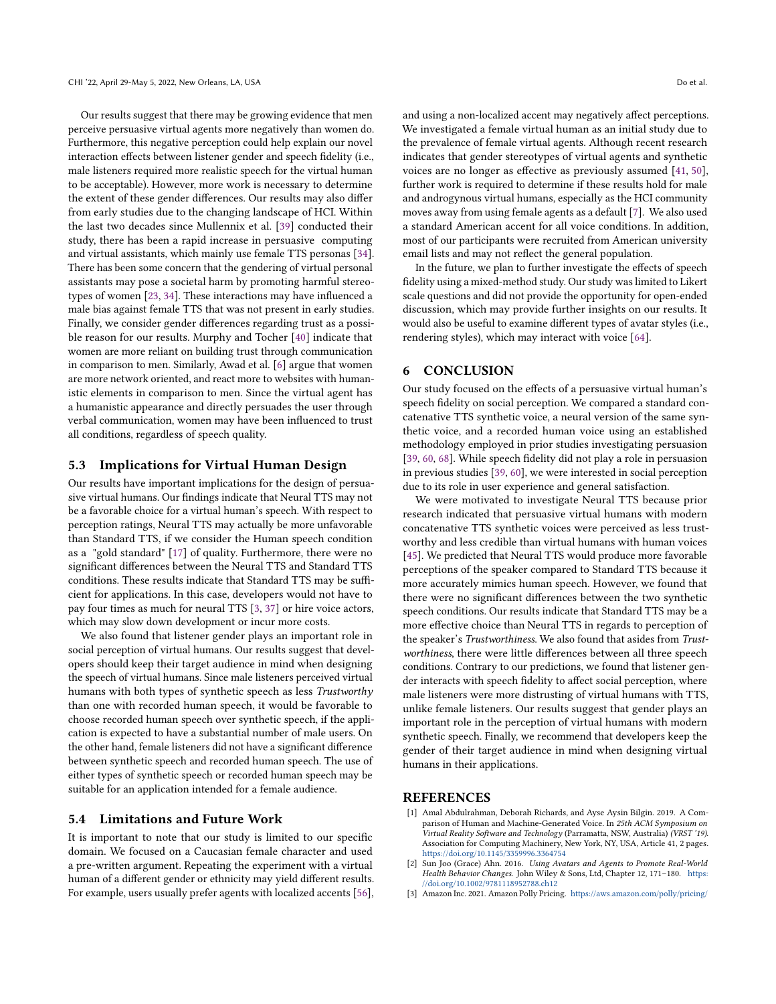Our results suggest that there may be growing evidence that men perceive persuasive virtual agents more negatively than women do. Furthermore, this negative perception could help explain our novel interaction effects between listener gender and speech fidelity (i.e., male listeners required more realistic speech for the virtual human to be acceptable). However, more work is necessary to determine the extent of these gender diferences. Our results may also difer from early studies due to the changing landscape of HCI. Within the last two decades since Mullennix et al. [\[39\]](#page-8-10) conducted their study, there has been a rapid increase in persuasive computing and virtual assistants, which mainly use female TTS personas [\[34\]](#page-8-31). There has been some concern that the gendering of virtual personal assistants may pose a societal harm by promoting harmful stereotypes of women [\[23,](#page-8-37) [34\]](#page-8-31). These interactions may have infuenced a male bias against female TTS that was not present in early studies. Finally, we consider gender diferences regarding trust as a possible reason for our results. Murphy and Tocher [\[40\]](#page-8-38) indicate that women are more reliant on building trust through communication in comparison to men. Similarly, Awad et al. [\[6\]](#page-8-39) argue that women are more network oriented, and react more to websites with humanistic elements in comparison to men. Since the virtual agent has a humanistic appearance and directly persuades the user through verbal communication, women may have been infuenced to trust all conditions, regardless of speech quality.

## 5.3 Implications for Virtual Human Design

Our results have important implications for the design of persuasive virtual humans. Our fndings indicate that Neural TTS may not be a favorable choice for a virtual human's speech. With respect to perception ratings, Neural TTS may actually be more unfavorable than Standard TTS, if we consider the Human speech condition as a "gold standard" [\[17\]](#page-8-4) of quality. Furthermore, there were no signifcant diferences between the Neural TTS and Standard TTS conditions. These results indicate that Standard TTS may be sufficient for applications. In this case, developers would not have to pay four times as much for neural TTS [\[3,](#page-7-2) [37\]](#page-8-40) or hire voice actors, which may slow down development or incur more costs.

We also found that listener gender plays an important role in social perception of virtual humans. Our results suggest that developers should keep their target audience in mind when designing the speech of virtual humans. Since male listeners perceived virtual humans with both types of synthetic speech as less Trustworthy than one with recorded human speech, it would be favorable to choose recorded human speech over synthetic speech, if the application is expected to have a substantial number of male users. On the other hand, female listeners did not have a signifcant diference between synthetic speech and recorded human speech. The use of either types of synthetic speech or recorded human speech may be suitable for an application intended for a female audience.

## 5.4 Limitations and Future Work

It is important to note that our study is limited to our specifc domain. We focused on a Caucasian female character and used a pre-written argument. Repeating the experiment with a virtual human of a diferent gender or ethnicity may yield diferent results. For example, users usually prefer agents with localized accents [\[56\]](#page-9-6), and using a non-localized accent may negatively afect perceptions. We investigated a female virtual human as an initial study due to the prevalence of female virtual agents. Although recent research indicates that gender stereotypes of virtual agents and synthetic voices are no longer as efective as previously assumed [\[41,](#page-8-27) [50\]](#page-9-17), further work is required to determine if these results hold for male and androgynous virtual humans, especially as the HCI community moves away from using female agents as a default [\[7\]](#page-8-41). We also used a standard American accent for all voice conditions. In addition, most of our participants were recruited from American university email lists and may not refect the general population.

In the future, we plan to further investigate the effects of speech fidelity using a mixed-method study. Our study was limited to Likert scale questions and did not provide the opportunity for open-ended discussion, which may provide further insights on our results. It would also be useful to examine diferent types of avatar styles (i.e., rendering styles), which may interact with voice [\[64\]](#page-9-26).

## 6 CONCLUSION

Our study focused on the efects of a persuasive virtual human's speech fdelity on social perception. We compared a standard concatenative TTS synthetic voice, a neural version of the same synthetic voice, and a recorded human voice using an established methodology employed in prior studies investigating persuasion [\[39,](#page-8-10) [60,](#page-9-5) [68\]](#page-9-12). While speech fdelity did not play a role in persuasion in previous studies [\[39,](#page-8-10) [60\]](#page-9-5), we were interested in social perception due to its role in user experience and general satisfaction.

We were motivated to investigate Neural TTS because prior research indicated that persuasive virtual humans with modern concatenative TTS synthetic voices were perceived as less trustworthy and less credible than virtual humans with human voices [\[45\]](#page-8-2). We predicted that Neural TTS would produce more favorable perceptions of the speaker compared to Standard TTS because it more accurately mimics human speech. However, we found that there were no signifcant diferences between the two synthetic speech conditions. Our results indicate that Standard TTS may be a more efective choice than Neural TTS in regards to perception of the speaker's Trustworthiness. We also found that asides from Trustworthiness, there were little diferences between all three speech conditions. Contrary to our predictions, we found that listener gender interacts with speech fidelity to affect social perception, where male listeners were more distrusting of virtual humans with TTS, unlike female listeners. Our results suggest that gender plays an important role in the perception of virtual humans with modern synthetic speech. Finally, we recommend that developers keep the gender of their target audience in mind when designing virtual humans in their applications.

## **REFERENCES**

- <span id="page-7-1"></span>[1] Amal Abdulrahman, Deborah Richards, and Ayse Aysin Bilgin. 2019. A Comparison of Human and Machine-Generated Voice. In 25th ACM Symposium on Virtual Reality Software and Technology (Parramatta, NSW, Australia) (VRST '19). Association for Computing Machinery, New York, NY, USA, Article 41, 2 pages. <https://doi.org/10.1145/3359996.3364754>
- <span id="page-7-0"></span>Sun Joo (Grace) Ahn. 2016. Using Avatars and Agents to Promote Real-World Health Behavior Changes. John Wiley & Sons, Ltd, Chapter 12, 171–180. [https:](https://doi.org/10.1002/9781118952788.ch12) [//doi.org/10.1002/9781118952788.ch12](https://doi.org/10.1002/9781118952788.ch12)
- <span id="page-7-2"></span>[3] Amazon Inc. 2021. Amazon Polly Pricing. <https://aws.amazon.com/polly/pricing/>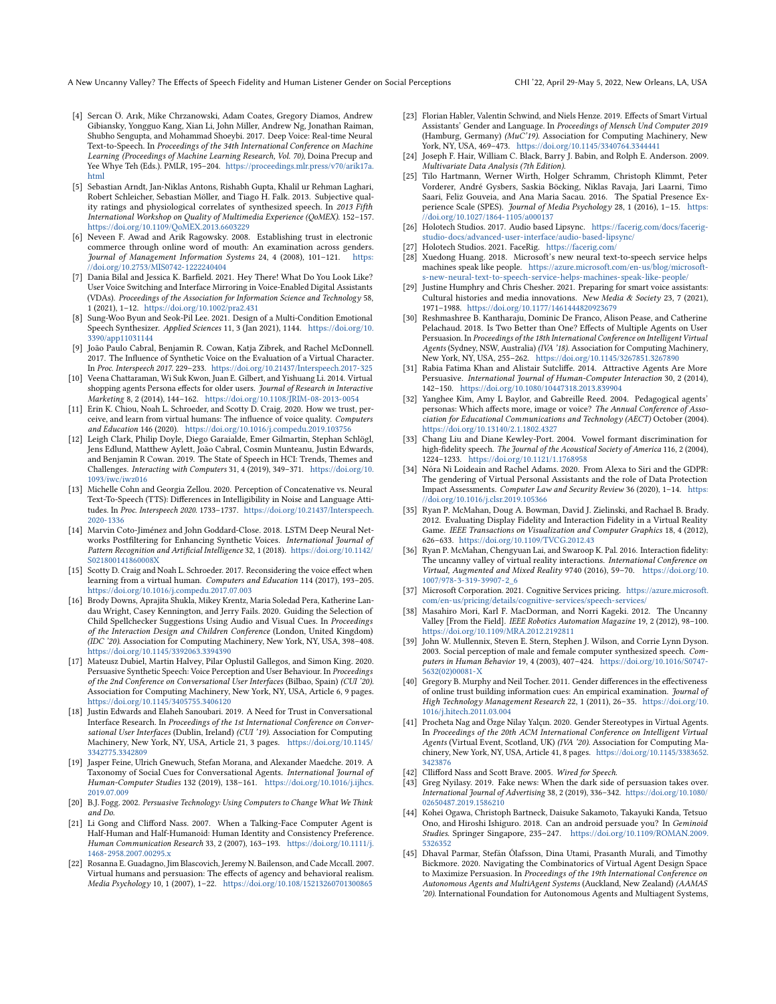A New Uncanny Valley? The Efects of Speech Fidelity and Human Listener Gender on Social Perceptions CHI '22, April 29-May 5, 2022, New Orleans, LA, USA

- <span id="page-8-28"></span>[4] Sercan Ö. Arık, Mike Chrzanowski, Adam Coates, Gregory Diamos, Andrew Gibiansky, Yongguo Kang, Xian Li, John Miller, Andrew Ng, Jonathan Raiman, Shubho Sengupta, and Mohammad Shoeybi. 2017. Deep Voice: Real-time Neural Text-to-Speech. In Proceedings of the 34th International Conference on Machine Learning (Proceedings of Machine Learning Research, Vol. 70), Doina Precup and Yee Whye Teh (Eds.). PMLR, 195–204. [https://proceedings.mlr.press/v70/arik17a.](https://proceedings.mlr.press/v70/arik17a.html) [html](https://proceedings.mlr.press/v70/arik17a.html)
- <span id="page-8-24"></span>[5] Sebastian Arndt, Jan-Niklas Antons, Rishabh Gupta, Khalil ur Rehman Laghari, Robert Schleicher, Sebastian Möller, and Tiago H. Falk. 2013. Subjective quality ratings and physiological correlates of synthesized speech. In 2013 Fifth International Workshop on Quality of Multimedia Experience (QoMEX). 152–157. <https://doi.org/10.1109/QoMEX.2013.6603229>
- <span id="page-8-39"></span>[6] Neveen F. Awad and Arik Ragowsky. 2008. Establishing trust in electronic commerce through online word of mouth: An examination across genders. Journal of Management Information Systems 24, 4 (2008), 101–121. [https:](https://doi.org/10.2753/MIS0742-1222240404) [//doi.org/10.2753/MIS0742-1222240404](https://doi.org/10.2753/MIS0742-1222240404)
- <span id="page-8-41"></span>[7] Dania Bilal and Jessica K. Barfeld. 2021. Hey There! What Do You Look Like? User Voice Switching and Interface Mirroring in Voice-Enabled Digital Assistants (VDAs). Proceedings of the Association for Information Science and Technology 58, 1 (2021), 1–12. <https://doi.org/10.1002/pra2.431>
- <span id="page-8-25"></span>[8] Sung-Woo Byun and Seok-Pil Lee. 2021. Design of a Multi-Condition Emotional Speech Synthesizer. Applied Sciences 11, 3 (Jan 2021), 1144. [https://doi.org/10.](https://doi.org/10.3390/app11031144) [3390/app11031144](https://doi.org/10.3390/app11031144)
- <span id="page-8-23"></span>[9] João Paulo Cabral, Benjamin R. Cowan, Katja Zibrek, and Rachel McDonnell. 2017. The Infuence of Synthetic Voice on the Evaluation of a Virtual Character. In Proc. Interspeech 2017. 229–233. <https://doi.org/10.21437/Interspeech.2017-325>
- <span id="page-8-19"></span>[10] Veena Chattaraman, Wi Suk Kwon, Juan E. Gilbert, and Yishuang Li. 2014. Virtual shopping agents Persona efects for older users. Journal of Research in Interactive Marketing 8, 2 (2014), 144–162. <https://doi.org/10.1108/JRIM-08-2013-0054>
- <span id="page-8-11"></span>[11] Erin K. Chiou, Noah L. Schroeder, and Scotty D. Craig. 2020. How we trust, perceive, and learn from virtual humans: The infuence of voice quality. Computers and Education 146 (2020). <https://doi.org/10.1016/j.compedu.2019.103756>
- <span id="page-8-15"></span>[12] Leigh Clark, Philip Doyle, Diego Garaialde, Emer Gilmartin, Stephan Schlögl, Jens Edlund, Matthew Aylett, João Cabral, Cosmin Munteanu, Justin Edwards, and Benjamin R Cowan. 2019. The State of Speech in HCI: Trends, Themes and Challenges. Interacting with Computers 31, 4 (2019), 349–371. [https://doi.org/10.](https://doi.org/10.1093/iwc/iwz016) [1093/iwc/iwz016](https://doi.org/10.1093/iwc/iwz016)
- <span id="page-8-12"></span>[13] Michelle Cohn and Georgia Zellou. 2020. Perception of Concatenative vs. Neural Text-To-Speech (TTS): Diferences in Intelligibility in Noise and Language Attitudes. In Proc. Interspeech 2020. 1733–1737. [https://doi.org/10.21437/Interspeech.](https://doi.org/10.21437/Interspeech.2020-1336) [2020-1336](https://doi.org/10.21437/Interspeech.2020-1336)
- <span id="page-8-13"></span>[14] Marvin Coto-Jiménez and John Goddard-Close. 2018. LSTM Deep Neural Networks Postfltering for Enhancing Synthetic Voices. International Journal of Pattern Recognition and Artifcial Intelligence 32, 1 (2018). [https://doi.org/10.1142/](https://doi.org/10.1142/S021800141860008X) [S021800141860008X](https://doi.org/10.1142/S021800141860008X)
- <span id="page-8-0"></span>[15] Scotty D. Craig and Noah L. Schroeder. 2017. Reconsidering the voice effect when learning from a virtual human. Computers and Education 114 (2017), 193–205. <https://doi.org/10.1016/j.compedu.2017.07.003>
- <span id="page-8-29"></span>[16] Brody Downs, Aprajita Shukla, Mikey Krentz, Maria Soledad Pera, Katherine Landau Wright, Casey Kennington, and Jerry Fails. 2020. Guiding the Selection of Child Spellchecker Suggestions Using Audio and Visual Cues. In Proceedings of the Interaction Design and Children Conference (London, United Kingdom) (IDC '20). Association for Computing Machinery, New York, NY, USA, 398–408. <https://doi.org/10.1145/3392063.3394390>
- <span id="page-8-4"></span>[17] Mateusz Dubiel, Martin Halvey, Pilar Oplustil Gallegos, and Simon King. 2020. Persuasive Synthetic Speech: Voice Perception and User Behaviour. In Proceedings of the 2nd Conference on Conversational User Interfaces (Bilbao, Spain) (CUI '20). Association for Computing Machinery, New York, NY, USA, Article 6, 9 pages. <https://doi.org/10.1145/3405755.3406120>
- <span id="page-8-8"></span>[18] Justin Edwards and Elaheh Sanoubari. 2019. A Need for Trust in Conversational Interface Research. In Proceedings of the 1st International Conference on Conversational User Interfaces (Dublin, Ireland) (CUI '19). Association for Computing Machinery, New York, NY, USA, Article 21, 3 pages. [https://doi.org/10.1145/](https://doi.org/10.1145/3342775.3342809) [3342775.3342809](https://doi.org/10.1145/3342775.3342809)
- <span id="page-8-7"></span>[19] Jasper Feine, Ulrich Gnewuch, Stefan Morana, and Alexander Maedche. 2019. A Taxonomy of Social Cues for Conversational Agents. International Journal of Human-Computer Studies 132 (2019), 138–161. [https://doi.org/10.1016/j.ijhcs.](https://doi.org/10.1016/j.ijhcs.2019.07.009) [2019.07.009](https://doi.org/10.1016/j.ijhcs.2019.07.009)
- <span id="page-8-18"></span>[20] B.J. Fogg. 2002. Persuasive Technology: Using Computers to Change What We Think and Do.
- <span id="page-8-21"></span>[21] Li Gong and Cliford Nass. 2007. When a Talking-Face Computer Agent is Half-Human and Half-Humanoid: Human Identity and Consistency Preference. Human Communication Research 33, 2 (2007), 163–193. [https://doi.org/10.1111/j.](https://doi.org/10.1111/j.1468-2958.2007.00295.x) [1468-2958.2007.00295.x](https://doi.org/10.1111/j.1468-2958.2007.00295.x)
- <span id="page-8-20"></span>[22] Rosanna E. Guadagno, Jim Blascovich, Jeremy N. Bailenson, and Cade Mccall. 2007. Virtual humans and persuasion: The efects of agency and behavioral realism. Media Psychology 10, 1 (2007), 1–22. <https://doi.org/10.108/15213260701300865>
- <span id="page-8-37"></span>[23] Florian Habler, Valentin Schwind, and Niels Henze. 2019. Efects of Smart Virtual Assistants' Gender and Language. In Proceedings of Mensch Und Computer 2019 (Hamburg, Germany) (MuC'19). Association for Computing Machinery, New York, NY, USA, 469–473. <https://doi.org/10.1145/3340764.3344441>
- <span id="page-8-35"></span>[24] Joseph F. Hair, William C. Black, Barry J. Babin, and Rolph E. Anderson. 2009. Multivariate Data Analysis (7th Edition).
- <span id="page-8-34"></span>[25] Tilo Hartmann, Werner Wirth, Holger Schramm, Christoph Klimmt, Peter Vorderer, André Gysbers, Saskia Böcking, Niklas Ravaja, Jari Laarni, Timo Saari, Feliz Gouveia, and Ana Maria Sacau. 2016. The Spatial Presence Experience Scale (SPES). Journal of Media Psychology 28, 1 (2016), 1–15. [https:](https://doi.org/10.1027/1864-1105/a000137) [//doi.org/10.1027/1864-1105/a000137](https://doi.org/10.1027/1864-1105/a000137)
- <span id="page-8-32"></span>[26] Holotech Studios. 2017. Audio based Lipsync. [https://facerig.com/docs/facerig](https://facerig.com/docs/facerig-studio-docs/advanced-user-interface/audio-based-lipsync/)[studio-docs/advanced-user-interface/audio-based-lipsync/](https://facerig.com/docs/facerig-studio-docs/advanced-user-interface/audio-based-lipsync/)
- <span id="page-8-30"></span>[27] Holotech Studios. 2021. FaceRig. <https://facerig.com/>
- <span id="page-8-14"></span>[28] Xuedong Huang. 2018. Microsoft's new neural text-to-speech service helps machines speak like people. [https://azure.microsoft.com/en-us/blog/microsoft](https://azure.microsoft.com/en-us/blog/microsoft-s-new-neural-text-to-speech-service-helps-machines-speak-like-people/)[s-new-neural-text-to-speech-service-helps-machines-speak-like-people/](https://azure.microsoft.com/en-us/blog/microsoft-s-new-neural-text-to-speech-service-helps-machines-speak-like-people/)
- <span id="page-8-26"></span>[29] Justine Humphry and Chris Chesher. 2021. Preparing for smart voice assistants: Cultural histories and media innovations. New Media & Society 23, 7 (2021), 1971–1988. <https://doi.org/10.1177/1461444820923679>
- <span id="page-8-16"></span>[30] Reshmashree B. Kantharaju, Dominic De Franco, Alison Pease, and Catherine Pelachaud. 2018. Is Two Better than One? Efects of Multiple Agents on User Persuasion. In Proceedings of the 18th International Conference on Intelligent Virtual Agents (Sydney, NSW, Australia) (IVA '18). Association for Computing Machinery, New York, NY, USA, 255–262. <https://doi.org/10.1145/3267851.3267890>
- <span id="page-8-5"></span>[31] Rabia Fatima Khan and Alistair Sutclife. 2014. Attractive Agents Are More Persuasive. International Journal of Human-Computer Interaction 30, 2 (2014), 142–150. <https://doi.org/10.1080/10447318.2013.839904>
- <span id="page-8-1"></span>[32] Yanghee Kim, Amy L Baylor, and Gabreille Reed. 2004. Pedagogical agents' personas: Which afects more, image or voice? The Annual Conference of Association for Educational Communications and Technology (AECT) October (2004). <https://doi.org/10.13140/2.1.1802.4327>
- <span id="page-8-6"></span>[33] Chang Liu and Diane Kewley-Port. 2004. Vowel formant discrimination for high-fdelity speech. The Journal of the Acoustical Society of America 116, 2 (2004), 1224–1233. <https://doi.org/10.1121/1.1768958>
- <span id="page-8-31"></span>[34] Nóra Ni Loideain and Rachel Adams. 2020. From Alexa to Siri and the GDPR: The gendering of Virtual Personal Assistants and the role of Data Protection Impact Assessments. Computer Law and Security Review 36 (2020), 1–14. [https:](https://doi.org/10.1016/j.clsr.2019.105366) [//doi.org/10.1016/j.clsr.2019.105366](https://doi.org/10.1016/j.clsr.2019.105366)
- <span id="page-8-9"></span>[35] Ryan P. McMahan, Doug A. Bowman, David J. Zielinski, and Rachael B. Brady. 2012. Evaluating Display Fidelity and Interaction Fidelity in a Virtual Reality Game. IEEE Transactions on Visualization and Computer Graphics 18, 4 (2012), 626–633. <https://doi.org/10.1109/TVCG.2012.43>
- <span id="page-8-36"></span>[36] Ryan P. McMahan, Chengyuan Lai, and Swaroop K. Pal. 2016. Interaction fdelity: The uncanny valley of virtual reality interactions. International Conference on Virtual, Augmented and Mixed Reality 9740 (2016), 59–70. [https://doi.org/10.](https://doi.org/10.1007/978-3-319-39907-2_6) [1007/978-3-319-39907-2\\_6](https://doi.org/10.1007/978-3-319-39907-2_6)
- <span id="page-8-40"></span>[37] Microsoft Corporation. 2021. Cognitive Services pricing. [https://azure.microsoft.](https://azure.microsoft.com/en-us/pricing/details/cognitive-services/speech-services/) [com/en-us/pricing/details/cognitive-services/speech-services/](https://azure.microsoft.com/en-us/pricing/details/cognitive-services/speech-services/)
- <span id="page-8-17"></span>[38] Masahiro Mori, Karl F. MacDorman, and Norri Kageki. 2012. The Uncanny Valley [From the Field]. IEEE Robotics Automation Magazine 19, 2 (2012), 98–100. <https://doi.org/10.1109/MRA.2012.2192811>
- <span id="page-8-10"></span>[39] John W. Mullennix, Steven E. Stern, Stephen J. Wilson, and Corrie Lynn Dyson. 2003. Social perception of male and female computer synthesized speech. Computers in Human Behavior 19, 4 (2003), 407–424. [https://doi.org/10.1016/S0747-](https://doi.org/10.1016/S0747-5632(02)00081-X) [5632\(02\)00081-X](https://doi.org/10.1016/S0747-5632(02)00081-X)
- <span id="page-8-38"></span>[40] Gregory B. Murphy and Neil Tocher. 2011. Gender diferences in the efectiveness of online trust building information cues: An empirical examination. Journal of High Technology Management Research 22, 1 (2011), 26–35. [https://doi.org/10.](https://doi.org/10.1016/j.hitech.2011.03.004) [1016/j.hitech.2011.03.004](https://doi.org/10.1016/j.hitech.2011.03.004)
- <span id="page-8-27"></span>[41] Procheta Nag and Özge Nilay Yalçın. 2020. Gender Stereotypes in Virtual Agents. In Proceedings of the 20th ACM International Conference on Intelligent Virtual Agents (Virtual Event, Scotland, UK) (IVA '20). Association for Computing Machinery, New York, NY, USA, Article 41, 8 pages. [https://doi.org/10.1145/3383652.](https://doi.org/10.1145/3383652.3423876) [3423876](https://doi.org/10.1145/3383652.3423876)
- <span id="page-8-22"></span>[42] Cllifford Nass and Scott Brave. 2005. Wired for Speech.
- <span id="page-8-3"></span>[43] Greg Nyilasy. 2019. Fake news: When the dark side of persuasion takes over. International Journal of Advertising 38, 2 (2019), 336–342. [https://doi.org/10.1080/](https://doi.org/10.1080/02650487.2019.1586210) [02650487.2019.1586210](https://doi.org/10.1080/02650487.2019.1586210)
- <span id="page-8-33"></span>[44] Kohei Ogawa, Christoph Bartneck, Daisuke Sakamoto, Takayuki Kanda, Tetsuo Ono, and Hiroshi Ishiguro. 2018. Can an android persuade you? In Geminoid Studies. Springer Singapore, 235–247. [https://doi.org/10.1109/ROMAN.2009.](https://doi.org/10.1109/ROMAN.2009.5326352) [5326352](https://doi.org/10.1109/ROMAN.2009.5326352)
- <span id="page-8-2"></span>[45] Dhaval Parmar, Stefán Ólafsson, Dina Utami, Prasanth Murali, and Timothy Bickmore. 2020. Navigating the Combinatorics of Virtual Agent Design Space to Maximize Persuasion. In Proceedings of the 19th International Conference on Autonomous Agents and MultiAgent Systems (Auckland, New Zealand) (AAMAS '20). International Foundation for Autonomous Agents and Multiagent Systems,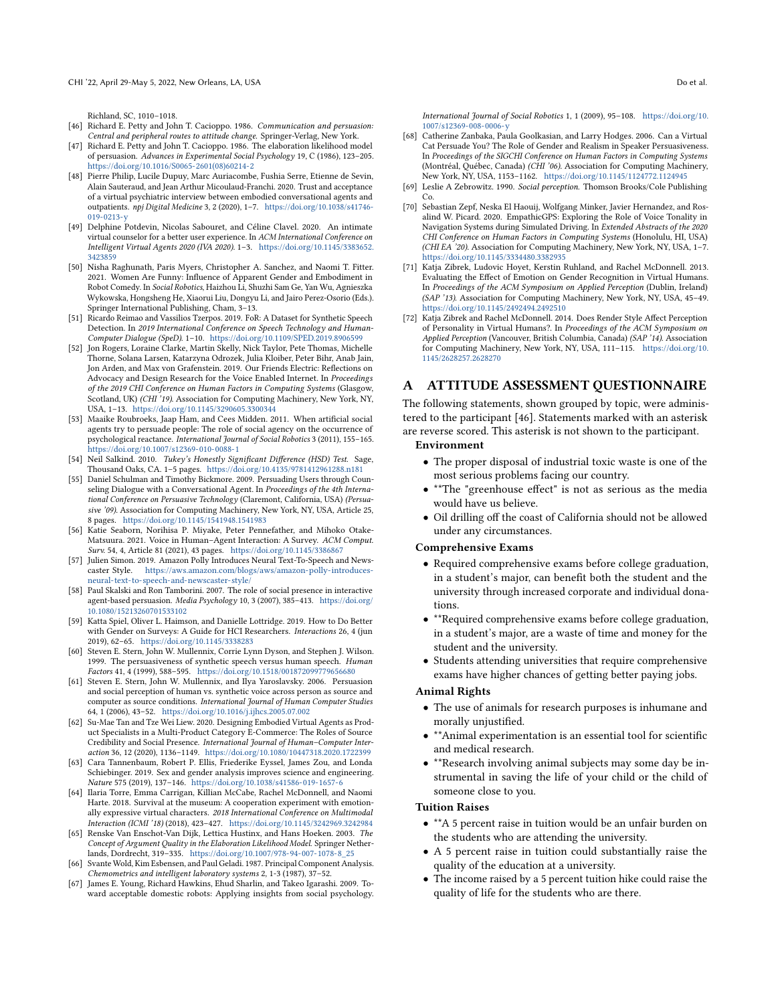Richland, SC, 1010–1018.

- <span id="page-9-21"></span>[46] Richard E. Petty and John T. Cacioppo. 1986. Communication and persuasion: Central and peripheral routes to attitude change. Springer-Verlag, New York.
- <span id="page-9-8"></span>[47] Richard E. Petty and John T. Cacioppo. 1986. The elaboration likelihood model of persuasion. Advances in Experimental Social Psychology 19, C (1986), 123–205. [https://doi.org/10.1016/S0065-2601\(08\)60214-2](https://doi.org/10.1016/S0065-2601(08)60214-2)
- <span id="page-9-7"></span>[48] Pierre Philip, Lucile Dupuy, Marc Auriacombe, Fushia Serre, Etienne de Sevin, Alain Sauteraud, and Jean Arthur Micoulaud-Franchi. 2020. Trust and acceptance of a virtual psychiatric interview between embodied conversational agents and outpatients. npj Digital Medicine 3, 2 (2020), 1–7. [https://doi.org/10.1038/s41746-](https://doi.org/10.1038/s41746-019-0213-y) [019-0213-y](https://doi.org/10.1038/s41746-019-0213-y)
- <span id="page-9-14"></span>[49] Delphine Potdevin, Nicolas Sabouret, and Céline Clavel. 2020. An intimate virtual counselor for a better user experience. In ACM International Conference on Intelligent Virtual Agents 2020 (IVA 2020). 1–3. [https://doi.org/10.1145/3383652.](https://doi.org/10.1145/3383652.3423859) [3423859](https://doi.org/10.1145/3383652.3423859)
- <span id="page-9-17"></span>[50] Nisha Raghunath, Paris Myers, Christopher A. Sanchez, and Naomi T. Fitter. 2021. Women Are Funny: Infuence of Apparent Gender and Embodiment in Robot Comedy. In Social Robotics, Haizhou Li, Shuzhi Sam Ge, Yan Wu, Agnieszka Wykowska, Hongsheng He, Xiaorui Liu, Dongyu Li, and Jairo Perez-Osorio (Eds.). Springer International Publishing, Cham, 3–13.
- <span id="page-9-22"></span>[51] Ricardo Reimao and Vassilios Tzerpos. 2019. FoR: A Dataset for Synthetic Speech Detection. In 2019 International Conference on Speech Technology and Human-Computer Dialogue (SpeD). 1–10. <https://doi.org/10.1109/SPED.2019.8906599>
- <span id="page-9-1"></span>[52] Jon Rogers, Loraine Clarke, Martin Skelly, Nick Taylor, Pete Thomas, Michelle Thorne, Solana Larsen, Katarzyna Odrozek, Julia Kloiber, Peter Bihr, Anab Jain, Jon Arden, and Max von Grafenstein. 2019. Our Friends Electric: Refections on Advocacy and Design Research for the Voice Enabled Internet. In Proceedings of the 2019 CHI Conference on Human Factors in Computing Systems (Glasgow, Scotland, UK) (CHI<sup>3</sup>19). Association for Computing Machinery, New York, NY, USA, 1–13. <https://doi.org/10.1145/3290605.3300344>
- <span id="page-9-0"></span>[53] Maaike Roubroeks, Jaap Ham, and Cees Midden. 2011. When artifcial social agents try to persuade people: The role of social agency on the occurrence of psychological reactance. International Journal of Social Robotics 3 (2011), 155–165. <https://doi.org/10.1007/s12369-010-0088-1>
- <span id="page-9-25"></span>[54] Neil Salkind. 2010. Tukey's Honestly Significant Difference (HSD) Test. Sage, Thousand Oaks, CA. 1–5 pages. <https://doi.org/10.4135/9781412961288.n181>
- <span id="page-9-10"></span>[55] Daniel Schulman and Timothy Bickmore. 2009. Persuading Users through Counseling Dialogue with a Conversational Agent. In Proceedings of the 4th International Conference on Persuasive Technology (Claremont, California, USA) (Persuasive '09). Association for Computing Machinery, New York, NY, USA, Article 25, 8 pages. <https://doi.org/10.1145/1541948.1541983>
- <span id="page-9-6"></span>[56] Katie Seaborn, Norihisa P. Miyake, Peter Pennefather, and Mihoko Otake-Matsuura. 2021. Voice in Human–Agent Interaction: A Survey. ACM Comput. Surv. 54, 4, Article 81 (2021), 43 pages. <https://doi.org/10.1145/3386867>
- <span id="page-9-18"></span>[57] Julien Simon. 2019. Amazon Polly Introduces Neural Text-To-Speech and Newscaster Style. [https://aws.amazon.com/blogs/aws/amazon-polly-introduces](https://aws.amazon.com/blogs/aws/amazon-polly-introduces-neural-text-to-speech-and-newscaster-style/)[neural-text-to-speech-and-newscaster-style/](https://aws.amazon.com/blogs/aws/amazon-polly-introduces-neural-text-to-speech-and-newscaster-style/)
- <span id="page-9-2"></span>[58] Paul Skalski and Ron Tamborini. 2007. The role of social presence in interactive agent-based persuasion. Media Psychology 10, 3 (2007), 385-413. [https://doi.org/](https://doi.org/10.1080/15213260701533102) [10.1080/15213260701533102](https://doi.org/10.1080/15213260701533102)
- <span id="page-9-20"></span>[59] Katta Spiel, Oliver L. Haimson, and Danielle Lottridge. 2019. How to Do Better with Gender on Surveys: A Guide for HCI Researchers. Interactions 26, 4 (jun 2019), 62–65. <https://doi.org/10.1145/3338283>
- <span id="page-9-5"></span>[60] Steven E. Stern, John W. Mullennix, Corrie Lynn Dyson, and Stephen J. Wilson. 1999. The persuasiveness of synthetic speech versus human speech. Human Factors 41, 4 (1999), 588–595. <https://doi.org/10.1518/001872099779656680>
- <span id="page-9-11"></span>[61] Steven E. Stern, John W. Mullennix, and Ilya Yaroslavsky. 2006. Persuasion and social perception of human vs. synthetic voice across person as source and computer as source conditions. International Journal of Human Computer Studies 64, 1 (2006), 43–52. <https://doi.org/10.1016/j.ijhcs.2005.07.002>
- <span id="page-9-13"></span>[62] Su-Mae Tan and Tze Wei Liew. 2020. Designing Embodied Virtual Agents as Product Specialists in a Multi-Product Category E-Commerce: The Roles of Source Credibility and Social Presence. International Journal of Human–Computer Interaction 36, 12 (2020), 1136–1149. <https://doi.org/10.1080/10447318.2020.1722399>
- <span id="page-9-19"></span>[63] Cara Tannenbaum, Robert P. Ellis, Friederike Eyssel, James Zou, and Londa Schiebinger. 2019. Sex and gender analysis improves science and engineering. Nature 575 (2019), 137–146. <https://doi.org/10.1038/s41586-019-1657-6>
- <span id="page-9-26"></span>[64] Ilaria Torre, Emma Carrigan, Killian McCabe, Rachel McDonnell, and Naomi Harte. 2018. Survival at the museum: A cooperation experiment with emotionally expressive virtual characters. 2018 International Conference on Multimodal Interaction (ICMI '18) (2018), 423–427. <https://doi.org/10.1145/3242969.3242984>
- <span id="page-9-9"></span>[65] Renske Van Enschot-Van Dijk, Lettica Hustinx, and Hans Hoeken. 2003. The Concept of Argument Quality in the Elaboration Likelihood Model. Springer Netherlands, Dordrecht, 319–335. [https://doi.org/10.1007/978-94-007-1078-8\\_25](https://doi.org/10.1007/978-94-007-1078-8_25)
- <span id="page-9-24"></span>[66] Svante Wold, Kim Esbensen, and Paul Geladi. 1987. Principal Component Analysis. Chemometrics and intelligent laboratory systems 2, 1-3 (1987), 37–52.
- <span id="page-9-4"></span>[67] James E. Young, Richard Hawkins, Ehud Sharlin, and Takeo Igarashi. 2009. Toward acceptable domestic robots: Applying insights from social psychology.

International Journal of Social Robotics 1, 1 (2009), 95–108. [https://doi.org/10.](https://doi.org/10.1007/s12369-008-0006-y) [1007/s12369-008-0006-y](https://doi.org/10.1007/s12369-008-0006-y)

- <span id="page-9-12"></span>[68] Catherine Zanbaka, Paula Goolkasian, and Larry Hodges. 2006. Can a Virtual Cat Persuade You? The Role of Gender and Realism in Speaker Persuasiveness. In Proceedings of the SIGCHI Conference on Human Factors in Computing Systems (Montréal, Québec, Canada) (CHI '06). Association for Computing Machinery, New York, NY, USA, 1153–1162. <https://doi.org/10.1145/1124772.1124945>
- <span id="page-9-3"></span>[69] Leslie A Zebrowitz. 1990. Social perception. Thomson Brooks/Cole Publishing
- <span id="page-9-23"></span>Co. [70] Sebastian Zepf, Neska El Haouij, Wolfgang Minker, Javier Hernandez, and Rosalind W. Picard. 2020. EmpathicGPS: Exploring the Role of Voice Tonality in Navigation Systems during Simulated Driving. In Extended Abstracts of the 2020 CHI Conference on Human Factors in Computing Systems (Honolulu, HI, USA) (CHI EA '20). Association for Computing Machinery, New York, NY, USA, 1–7. <https://doi.org/10.1145/3334480.3382935>
- <span id="page-9-16"></span>[71] Katja Zibrek, Ludovic Hoyet, Kerstin Ruhland, and Rachel McDonnell. 2013. Evaluating the Efect of Emotion on Gender Recognition in Virtual Humans. In Proceedings of the ACM Symposium on Applied Perception (Dublin, Ireland) (SAP '13). Association for Computing Machinery, New York, NY, USA, 45–49. <https://doi.org/10.1145/2492494.2492510>
- <span id="page-9-15"></span>[72] Katja Zibrek and Rachel McDonnell. 2014. Does Render Style Afect Perception of Personality in Virtual Humans?. In Proceedings of the ACM Symposium on Applied Perception (Vancouver, British Columbia, Canada) (SAP '14). Association for Computing Machinery, New York, NY, USA, 111–115. [https://doi.org/10.](https://doi.org/10.1145/2628257.2628270) [1145/2628257.2628270](https://doi.org/10.1145/2628257.2628270)

## A ATTITUDE ASSESSMENT QUESTIONNAIRE

The following statements, shown grouped by topic, were administered to the participant [46]. Statements marked with an asterisk are reverse scored. This asterisk is not shown to the participant.

#### Environment

- The proper disposal of industrial toxic waste is one of the most serious problems facing our country.
- \*\*The "greenhouse effect" is not as serious as the media would have us believe.
- Oil drilling off the coast of California should not be allowed under any circumstances.

## Comprehensive Exams

- Required comprehensive exams before college graduation, in a student's major, can beneft both the student and the university through increased corporate and individual donations.
- \*\*Required comprehensive exams before college graduation, in a student's major, are a waste of time and money for the student and the university.
- Students attending universities that require comprehensive exams have higher chances of getting better paying jobs.

#### Animal Rights

- The use of animals for research purposes is inhumane and morally unjustifed.
- \*\*Animal experimentation is an essential tool for scientifc and medical research.
- \*\*Research involving animal subjects may some day be instrumental in saving the life of your child or the child of someone close to you.

## Tuition Raises

- \*\*A 5 percent raise in tuition would be an unfair burden on the students who are attending the university.
- A 5 percent raise in tuition could substantially raise the quality of the education at a university.
- The income raised by a 5 percent tuition hike could raise the quality of life for the students who are there.